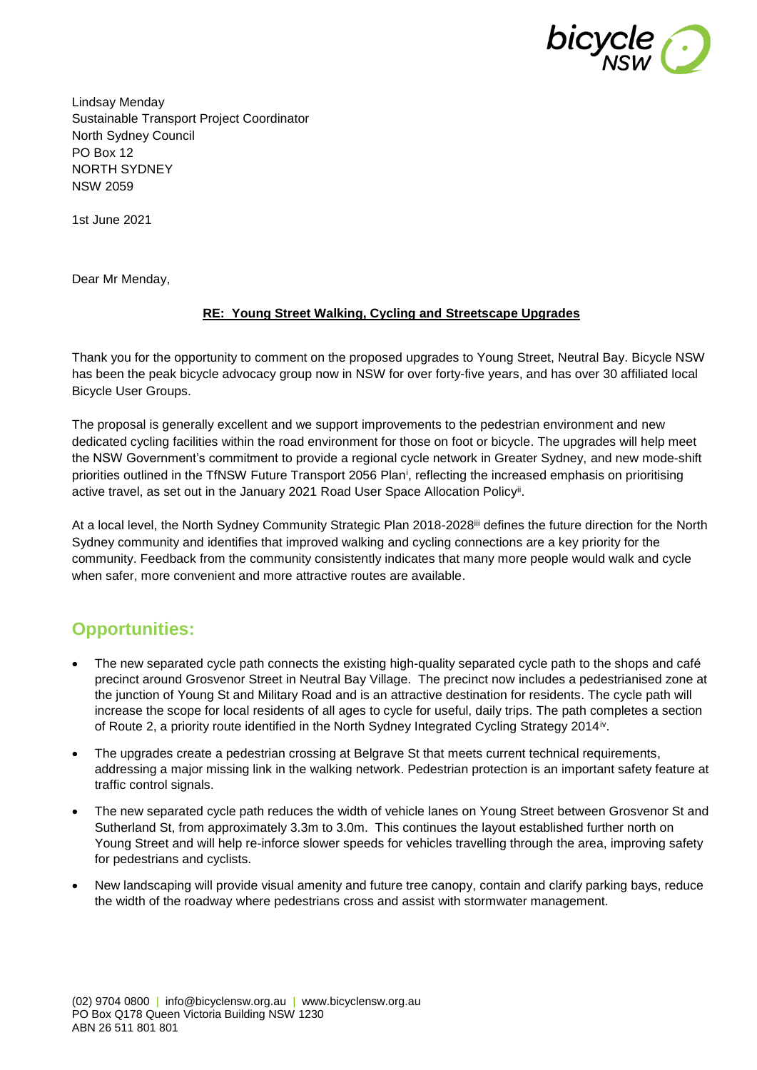

Lindsay Menday Sustainable Transport Project Coordinator North Sydney Council PO Box 12 NORTH SYDNEY NSW 2059

1st June 2021

Dear Mr Menday,

## **RE: Young Street Walking, Cycling and Streetscape Upgrades**

Thank you for the opportunity to comment on the proposed upgrades to Young Street, Neutral Bay. Bicycle NSW has been the peak bicycle advocacy group now in NSW for over forty-five years, and has over 30 affiliated local Bicycle User Groups.

The proposal is generally excellent and we support improvements to the pedestrian environment and new dedicated cycling facilities within the road environment for those on foot or bicycle. The upgrades will help meet the NSW Government's commitment to provide a regional cycle network in Greater Sydney, and new mode-shift priorities outlined in the TfNSW Future Transport 2056 Plan<sup>i</sup>, reflecting the increased emphasis on prioritising active travel, as set out in the January 2021 Road User Space Allocation Policy<sup>ii</sup>.

At a local level, the North Sydney Community Strategic Plan 2018-2028<sup>iii</sup> defines the future direction for the North Sydney community and identifies that improved walking and cycling connections are a key priority for the community. Feedback from the community consistently indicates that many more people would walk and cycle when safer, more convenient and more attractive routes are available.

## **Opportunities:**

- The new separated cycle path connects the existing high-quality separated cycle path to the shops and café precinct around Grosvenor Street in Neutral Bay Village. The precinct now includes a pedestrianised zone at the junction of Young St and Military Road and is an attractive destination for residents. The cycle path will increase the scope for local residents of all ages to cycle for useful, daily trips. The path completes a section of Route 2, a priority route identified in the North Sydney Integrated Cycling Strategy 2014<sup>iv</sup>.
- The upgrades create a pedestrian crossing at Belgrave St that meets current technical requirements, addressing a major missing link in the walking network. Pedestrian protection is an important safety feature at traffic control signals.
- The new separated cycle path reduces the width of vehicle lanes on Young Street between Grosvenor St and Sutherland St, from approximately 3.3m to 3.0m. This continues the layout established further north on Young Street and will help re-inforce slower speeds for vehicles travelling through the area, improving safety for pedestrians and cyclists.
- New landscaping will provide visual amenity and future tree canopy, contain and clarify parking bays, reduce the width of the roadway where pedestrians cross and assist with stormwater management.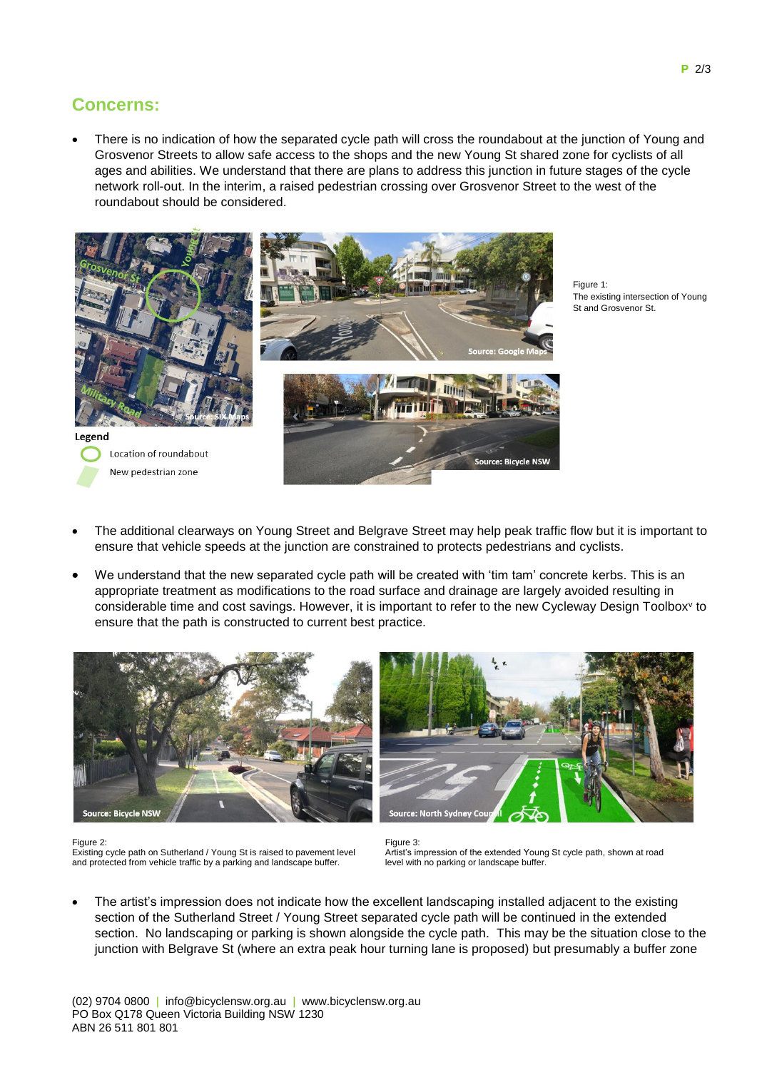## **Concerns:**

 There is no indication of how the separated cycle path will cross the roundabout at the junction of Young and Grosvenor Streets to allow safe access to the shops and the new Young St shared zone for cyclists of all ages and abilities. We understand that there are plans to address this junction in future stages of the cycle network roll-out. In the interim, a raised pedestrian crossing over Grosvenor Street to the west of the roundabout should be considered.



Figure 1: The existing intersection of Young St and Grosvenor St.

- The additional clearways on Young Street and Belgrave Street may help peak traffic flow but it is important to ensure that vehicle speeds at the junction are constrained to protects pedestrians and cyclists.
- We understand that the new separated cycle path will be created with 'tim tam' concrete kerbs. This is an appropriate treatment as modifications to the road surface and drainage are largely avoided resulting in considerable time and cost savings. However, it is important to refer to the new Cycleway Design Toolbox<sup>v</sup> to ensure that the path is constructed to current best practice.





Figure 2: Existing cycle path on Sutherland / Young St is raised to pavement level and protected from vehicle traffic by a parking and landscape buffer.

Figure 3: Artist's impression of the extended Young St cycle path, shown at road level with no parking or landscape buffer.

 The artist's impression does not indicate how the excellent landscaping installed adjacent to the existing section of the Sutherland Street / Young Street separated cycle path will be continued in the extended section. No landscaping or parking is shown alongside the cycle path. This may be the situation close to the junction with Belgrave St (where an extra peak hour turning lane is proposed) but presumably a buffer zone